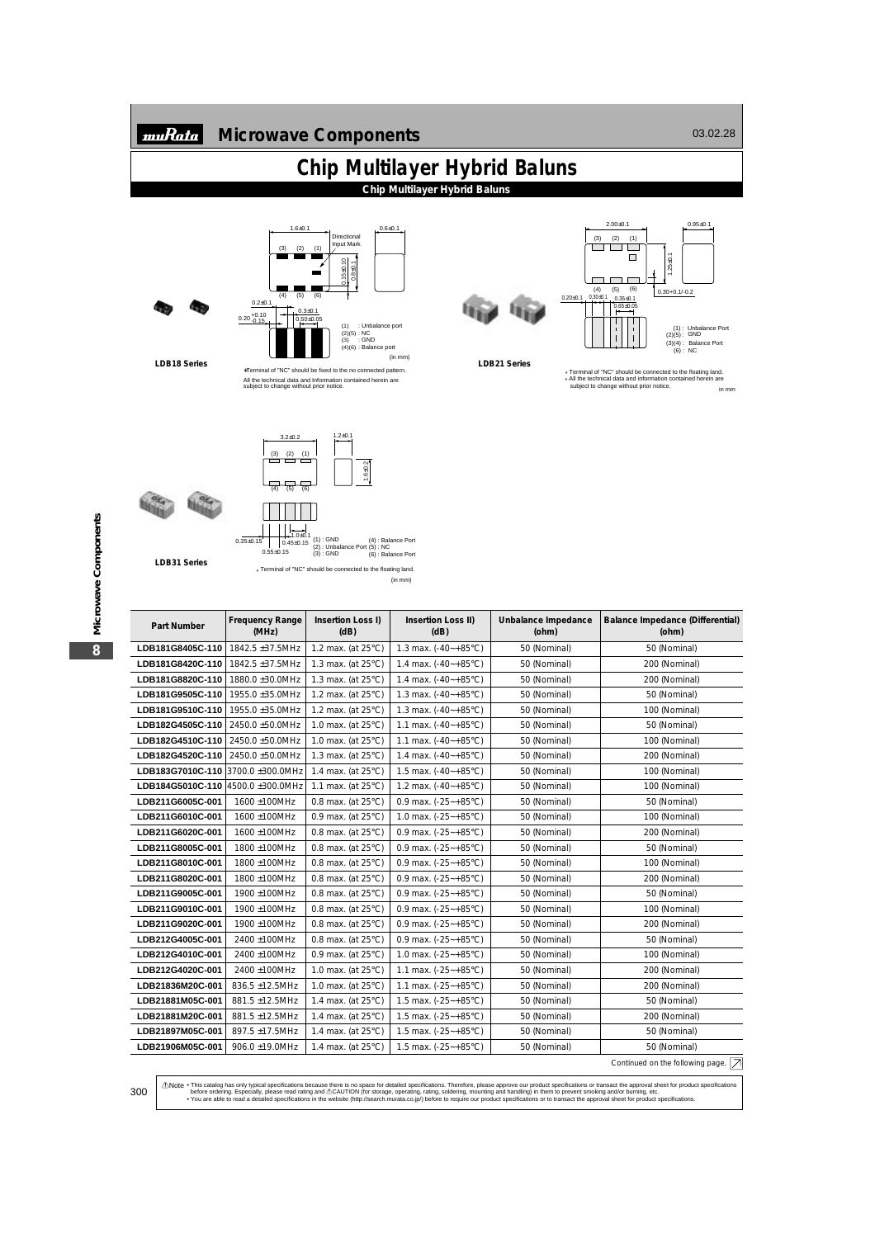## **Microwave Components**

 $0.6 \pm 0.1$ 

## **Chip Multilayer Hybrid Baluns**

**Chip Multilayer Hybrid Baluns**





 $1.6 \pm 0.1$ 

LDB18 Series ∗Terminal of "NC" should be fixed to the no connected pattern. All the technical data and Information contained herein are subject to change without prior notice.





**LDB21 Series**

\* All the technical data and information contained herein are subject to change without prior notice. \* Terminal of "NC" should be connected to the floating land. in mm



(in mm)

| Part Number                       | <b>Frequency Range</b><br>(MHz) | Insertion Loss I)<br>(dB)    | Insertion Loss II)<br>(dB)      | Unbalance Impedance<br>(ohm) | Balance Impedance (Differential)<br>(ohm)                      |
|-----------------------------------|---------------------------------|------------------------------|---------------------------------|------------------------------|----------------------------------------------------------------|
| LDB181G8405C-110                  | 1842.5 ±37.5MHz                 | 1.2 max. (at $25^{\circ}$ C) | 1.3 max. $(-40 - +85^{\circ}C)$ | 50 (Nominal)                 | 50 (Nominal)                                                   |
| LDB181G8420C-110                  | 1842.5 ±37.5MHz                 | 1.3 max. (at $25^{\circ}$ C) | 1.4 max. $(-40 - +85^{\circ}C)$ | 50 (Nominal)                 | 200 (Nominal)                                                  |
| LDB181G8820C-110                  | 1880.0 ±30.0MHz                 | 1.3 max. (at $25^{\circ}$ C) | 1.4 max. $(-40 - +85^{\circ}C)$ | 50 (Nominal)                 | 200 (Nominal)                                                  |
| LDB181G9505C-110                  | 1955.0 ±35.0MHz                 | 1.2 max. (at 25°C)           | 1.3 max. $(-40 - +85^{\circ}C)$ | 50 (Nominal)                 | 50 (Nominal)                                                   |
| LDB181G9510C-110                  | 1955.0 ±35.0MHz                 | 1.2 max. (at $25^{\circ}$ C) | 1.3 max. $(-40 - +85^{\circ}C)$ | 50 (Nominal)                 | 100 (Nominal)                                                  |
| LDB182G4505C-110                  | 2450.0 ±50.0MHz                 | 1.0 max. (at $25^{\circ}$ C) | 1.1 max. (-40~+85°C)            | 50 (Nominal)                 | 50 (Nominal)                                                   |
| LDB182G4510C-110                  | 2450.0 ±50.0MHz                 | 1.0 max. (at $25^{\circ}$ C) | 1.1 max. $(-40 - +85^{\circ}C)$ | 50 (Nominal)                 | 100 (Nominal)                                                  |
| LDB182G4520C-110                  | 2450.0 ±50.0MHz                 | 1.3 max. (at $25^{\circ}$ C) | 1.4 max. $(-40 - +85^{\circ}C)$ | 50 (Nominal)                 | 200 (Nominal)                                                  |
| LDB183G7010C-110                  | 3700.0 ±300.0MHz                | 1.4 max. (at $25^{\circ}$ C) | 1.5 max. $(-40 - +85^{\circ}C)$ | 50 (Nominal)                 | 100 (Nominal)                                                  |
| LDB184G5010C-110 4500.0 ±300.0MHz |                                 | 1.1 max. (at $25^{\circ}$ C) | 1.2 max. $(-40 - +85^{\circ}C)$ | 50 (Nominal)                 | 100 (Nominal)                                                  |
| LDB211G6005C-001                  | 1600 ±100MHz                    | 0.8 max. (at $25^{\circ}$ C) | 0.9 max. $(-25 - +85^{\circ}C)$ | 50 (Nominal)                 | 50 (Nominal)                                                   |
| LDB211G6010C-001                  | 1600 ±100MHz                    | 0.9 max. (at 25°C)           | 1.0 max. $(-25 - +85^{\circ}C)$ | 50 (Nominal)                 | 100 (Nominal)                                                  |
| LDB211G6020C-001                  | 1600 ±100MHz                    | 0.8 max. (at $25^{\circ}$ C) | 0.9 max. $(-25 - +85^{\circ}C)$ | 50 (Nominal)                 | 200 (Nominal)                                                  |
| LDB211G8005C-001                  | 1800 ±100MHz                    | 0.8 max. (at $25^{\circ}$ C) | 0.9 max. $(-25 - +85^{\circ}C)$ | 50 (Nominal)                 | 50 (Nominal)                                                   |
| LDB211G8010C-001                  | 1800 ±100MHz                    | 0.8 max. (at $25^{\circ}$ C) | 0.9 max. $(-25 - +85^{\circ}C)$ | 50 (Nominal)                 | 100 (Nominal)                                                  |
| LDB211G8020C-001                  | 1800 ±100MHz                    | 0.8 max. (at 25°C)           | 0.9 max. $(-25 - +85^{\circ}C)$ | 50 (Nominal)                 | 200 (Nominal)                                                  |
| LDB211G9005C-001                  | 1900 ±100MHz                    | 0.8 max. (at $25^{\circ}$ C) | 0.9 max. $(-25 - +85^{\circ}C)$ | 50 (Nominal)                 | 50 (Nominal)                                                   |
| LDB211G9010C-001                  | 1900 ±100MHz                    | 0.8 max. (at $25^{\circ}$ C) | 0.9 max. $(-25 - +85^{\circ}C)$ | 50 (Nominal)                 | 100 (Nominal)                                                  |
| LDB211G9020C-001                  | 1900 ±100MHz                    | 0.8 max. (at $25^{\circ}$ C) | 0.9 max. $(-25 - +85^{\circ}C)$ | 50 (Nominal)                 | 200 (Nominal)                                                  |
| LDB212G4005C-001                  | 2400 ±100MHz                    | 0.8 max. (at 25°C)           | 0.9 max. $(-25 - +85^{\circ}C)$ | 50 (Nominal)                 | 50 (Nominal)                                                   |
| LDB212G4010C-001                  | 2400 ±100MHz                    | 0.9 max. (at $25^{\circ}$ C) | 1.0 max. $(-25 - +85^{\circ}C)$ | 50 (Nominal)                 | 100 (Nominal)                                                  |
| LDB212G4020C-001                  | 2400 ±100MHz                    | 1.0 max. (at $25^{\circ}$ C) | 1.1 max. $(-25 - +85^{\circ}C)$ | 50 (Nominal)                 | 200 (Nominal)                                                  |
| LDB21836M20C-001                  | 836.5 ±12.5MHz                  | 1.0 max. (at 25°C)           | 1.1 max. $(-25 - +85^{\circ}C)$ | 50 (Nominal)                 | 200 (Nominal)                                                  |
| LDB21881M05C-001                  | 881.5 ±12.5MHz                  | 1.4 max. (at $25^{\circ}$ C) | 1.5 max. $(-25 - +85^{\circ}C)$ | 50 (Nominal)                 | 50 (Nominal)                                                   |
| LDB21881M20C-001                  | 881.5 ±12.5MHz                  | 1.4 max. (at $25^{\circ}$ C) | 1.5 max. $(-25 - +85^{\circ}C)$ | 50 (Nominal)                 | 200 (Nominal)                                                  |
| LDB21897M05C-001                  | 897.5 ±17.5MHz                  | 1.4 max. (at $25^{\circ}$ C) | 1.5 max. $(-25 - +85^{\circ}C)$ | 50 (Nominal)                 | 50 (Nominal)                                                   |
| LDB21906M05C-001                  | 906.0 ±19.0MHz                  | 1.4 max. (at 25°C)           | 1.5 max. (-25~+85°C)            | 50 (Nominal)                 | 50 (Nominal)                                                   |
|                                   |                                 |                              |                                 |                              | Continued on the following page. $\boxed{\overline{\nearrow}}$ |

①Note • This catalog has only typical specifications because there is no space for detailed specifications. Therefore, please approve our product specifications or transact the approval sheet for product specifications b